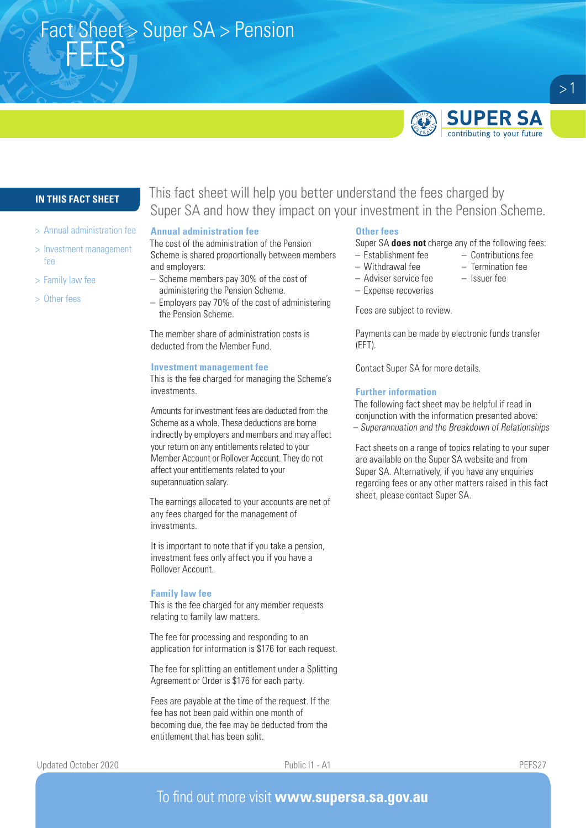# Fact Sheet > Super SA > Pension FEES



contributing to your future

 $>1$ 

## **IN THIS FACT SHEET**

- > Annual administration fee
- > Investment management fee
- > Family law fee
- > Other fees

## This fact sheet will help you better understand the fees charged by Super SA and how they impact on your investment in the Pension Scheme.

#### **Annual administration fee**

The cost of the administration of the Pension Scheme is shared proportionally between members and employers:

- Scheme members pay 30% of the cost of administering the Pension Scheme.
- Employers pay 70% of the cost of administering the Pension Scheme.

The member share of administration costs is deducted from the Member Fund.

#### **Investment management fee**

This is the fee charged for managing the Scheme's investments.

Amounts for investment fees are deducted from the Scheme as a whole. These deductions are borne indirectly by employers and members and may affect your return on any entitlements related to your Member Account or Rollover Account. They do not affect your entitlements related to your superannuation salary.

The earnings allocated to your accounts are net of any fees charged for the management of investments.

It is important to note that if you take a pension, investment fees only affect you if you have a Rollover Account.

#### **Family law fee**

This is the fee charged for any member requests relating to family law matters.

The fee for processing and responding to an application for information is \$176 for each request.

The fee for splitting an entitlement under a Splitting Agreement or Order is \$176 for each party.

Fees are payable at the time of the request. If the fee has not been paid within one month of becoming due, the fee may be deducted from the entitlement that has been split.

## **Other fees**

Super SA **does not** charge any of the following fees:

- Establishment fee Contributions fee
- Withdrawal fee Termination fee
- Adviser service fee Issuer fee
- 
- Expense recoveries

Fees are subject to review.

Payments can be made by electronic funds transfer (EFT).

Contact Super SA for more details.

#### **Further information**

The following fact sheet may be helpful if read in conjunction with the information presented above: – Superannuation and the Breakdown of Relationships

Fact sheets on a range of topics relating to your super are available on the Super SA website and from Super SA. Alternatively, if you have any enquiries regarding fees or any other matters raised in this fact sheet, please contact Super SA.

Updated October 2020 Public I1 - A1 PEFS27